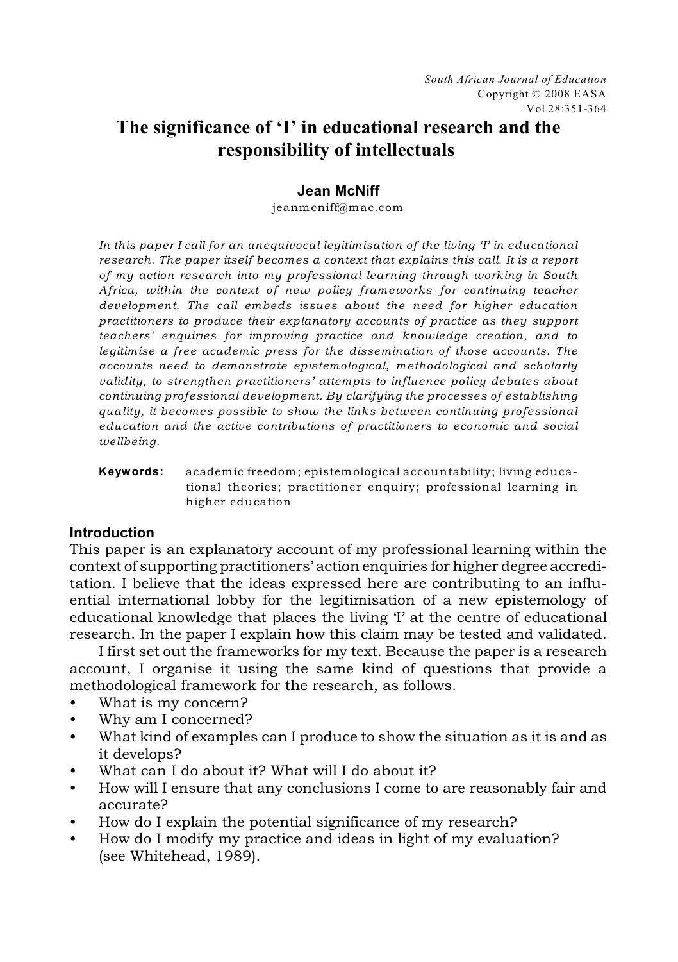# **The significance of 'I' in educational research and the responsibility of intellectuals**

# **Jean McNiff**

jeanmcniff@mac.com

*In this paper I call for an unequivocal legitimisation of the living 'I' in educational research. The paper itself becomes a context that explains this call. It is a report of my action research into my professional learning through working in South Africa, within the context of new policy frameworks for continuing teacher development. The call embeds issues about the need for higher education practitioners to produce their explanatory accounts of practice as they support teachers' enquiries for improving practice and knowledge creation, and to legitimise a free academic press for the dissemination of those accounts. The accounts need to demonstrate epistemological, methodological and scholarly validity, to strengthen practitioners' attempts to influence policy debates about continuing professional development. By clarifying the processes of establishing quality, it becomes possible to show the links between continuing professional education and the active contributions of practitioners to economic and social wellbeing.* 

**Keywords:** academic freedom; epistemological accountability; living educational theories; practitioner enquiry; professional learning in higher education

## **Introduction**

This paper is an explanatory account of my professional learning within the context of supporting practitioners' action enquiries for higher degree accreditation. I believe that the ideas expressed here are contributing to an influential international lobby for the legitimisation of a new epistemology of educational knowledge that places the living 'I' at the centre of educational research. In the paper I explain how this claim may be tested and validated.

I first set out the frameworks for my text. Because the paper is a research account, I organise it using the same kind of questions that provide a methodological framework for the research, as follows.

- What is my concern?
- Why am I concerned?
- What kind of examples can I produce to show the situation as it is and as it develops?
- What can I do about it? What will I do about it?
- How will I ensure that any conclusions I come to are reasonably fair and accurate?
- How do I explain the potential significance of my research?
- How do I modify my practice and ideas in light of my evaluation? (see Whitehead, 1989).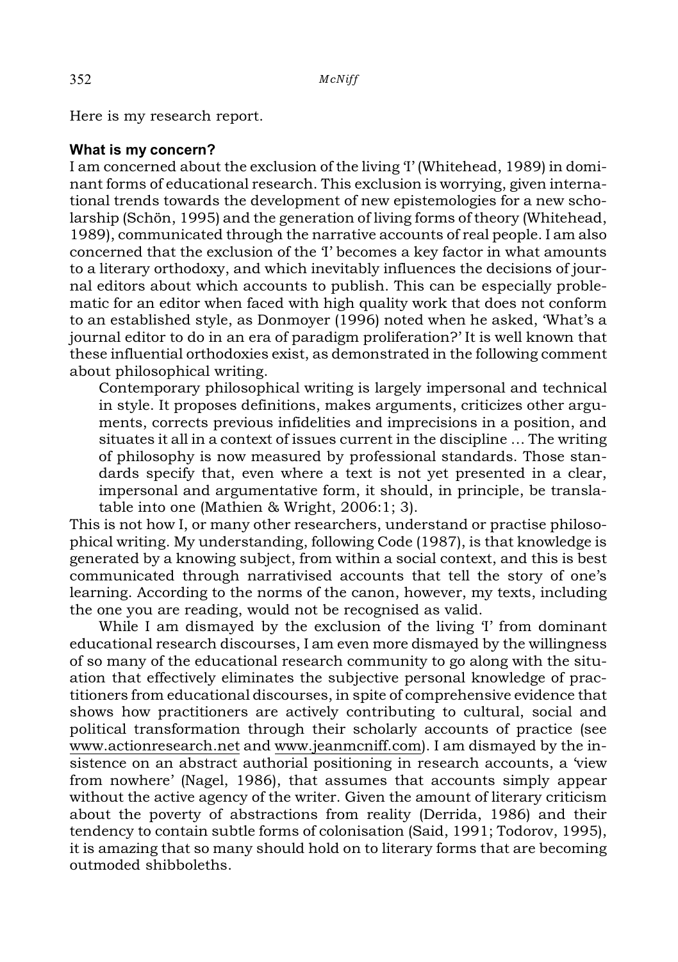Here is my research report.

#### **What is my concern?**

I am concerned about the exclusion of the living 'I' (Whitehead, 1989) in dominant forms of educational research. This exclusion is worrying, given international trends towards the development of new epistemologies for a new scholarship (Schön, 1995) and the generation of living forms of theory (Whitehead, 1989), communicated through the narrative accounts of real people. I am also concerned that the exclusion of the 'I' becomes a key factor in what amounts to a literary orthodoxy, and which inevitably influences the decisions of journal editors about which accounts to publish. This can be especially problematic for an editor when faced with high quality work that does not conform to an established style, as Donmoyer (1996) noted when he asked, 'What's a journal editor to do in an era of paradigm proliferation?' It is well known that these influential orthodoxies exist, as demonstrated in the following comment about philosophical writing.

Contemporary philosophical writing is largely impersonal and technical in style. It proposes definitions, makes arguments, criticizes other arguments, corrects previous infidelities and imprecisions in a position, and situates it all in a context of issues current in the discipline … The writing of philosophy is now measured by professional standards. Those standards specify that, even where a text is not yet presented in a clear, impersonal and argumentative form, it should, in principle, be translatable into one (Mathien & Wright, 2006:1; 3).

This is not how I, or many other researchers, understand or practise philosophical writing. My understanding, following Code (1987), is that knowledge is generated by a knowing subject, from within a social context, and this is best communicated through narrativised accounts that tell the story of one's learning. According to the norms of the canon, however, my texts, including the one you are reading, would not be recognised as valid.

While I am dismayed by the exclusion of the living 'I' from dominant educational research discourses, I am even more dismayed by the willingness of so many of the educational research community to go along with the situation that effectively eliminates the subjective personal knowledge of practitioners from educational discourses, in spite of comprehensive evidence that shows how practitioners are actively contributing to cultural, social and political transformation through their scholarly accounts of practice (see www.actionresearch.net and www.jeanmcniff.com). I am dismayed by the insistence on an abstract authorial positioning in research accounts, a 'view from nowhere' (Nagel, 1986), that assumes that accounts simply appear without the active agency of the writer. Given the amount of literary criticism about the poverty of abstractions from reality (Derrida, 1986) and their tendency to contain subtle forms of colonisation (Said, 1991; Todorov, 1995), it is amazing that so many should hold on to literary forms that are becoming outmoded shibboleths.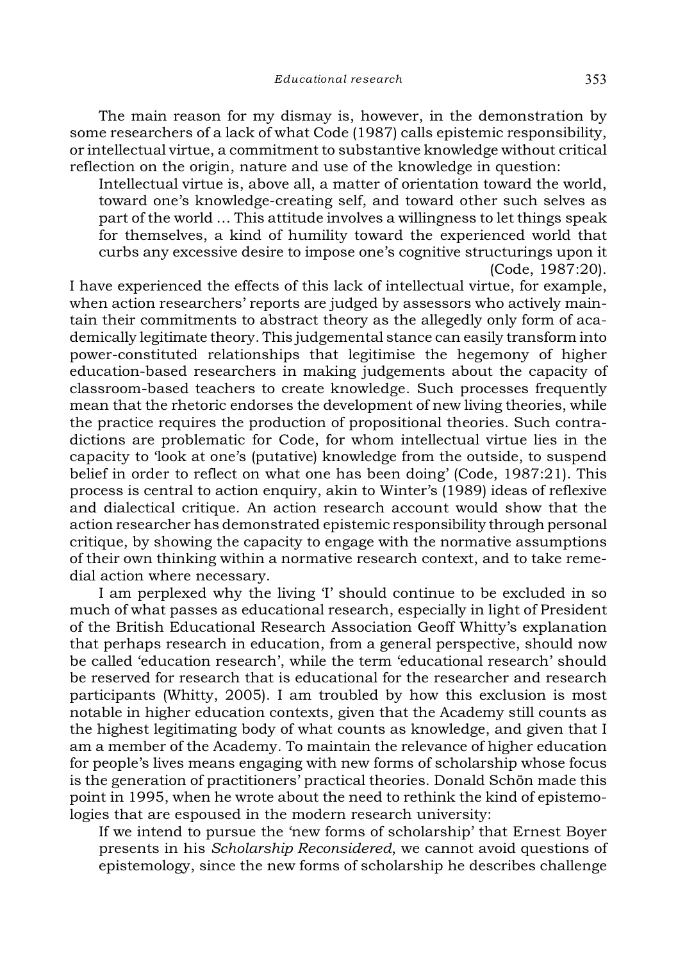The main reason for my dismay is, however, in the demonstration by some researchers of a lack of what Code (1987) calls epistemic responsibility, or intellectual virtue, a commitment to substantive knowledge without critical reflection on the origin, nature and use of the knowledge in question:

Intellectual virtue is, above all, a matter of orientation toward the world, toward one's knowledge-creating self, and toward other such selves as part of the world … This attitude involves a willingness to let things speak for themselves, a kind of humility toward the experienced world that curbs any excessive desire to impose one's cognitive structurings upon it (Code, 1987:20).

I have experienced the effects of this lack of intellectual virtue, for example, when action researchers' reports are judged by assessors who actively maintain their commitments to abstract theory as the allegedly only form of academically legitimate theory. This judgemental stance can easily transform into power-constituted relationships that legitimise the hegemony of higher education-based researchers in making judgements about the capacity of classroom-based teachers to create knowledge. Such processes frequently mean that the rhetoric endorses the development of new living theories, while the practice requires the production of propositional theories. Such contradictions are problematic for Code, for whom intellectual virtue lies in the capacity to 'look at one's (putative) knowledge from the outside, to suspend belief in order to reflect on what one has been doing' (Code, 1987:21). This process is central to action enquiry, akin to Winter's (1989) ideas of reflexive and dialectical critique. An action research account would show that the action researcher has demonstrated epistemic responsibility through personal critique, by showing the capacity to engage with the normative assumptions of their own thinking within a normative research context, and to take remedial action where necessary.

I am perplexed why the living 'I' should continue to be excluded in so much of what passes as educational research, especially in light of President of the British Educational Research Association Geoff Whitty's explanation that perhaps research in education, from a general perspective, should now be called 'education research', while the term 'educational research' should be reserved for research that is educational for the researcher and research participants (Whitty, 2005). I am troubled by how this exclusion is most notable in higher education contexts, given that the Academy still counts as the highest legitimating body of what counts as knowledge, and given that I am a member of the Academy. To maintain the relevance of higher education for people's lives means engaging with new forms of scholarship whose focus is the generation of practitioners' practical theories. Donald Schön made this point in 1995, when he wrote about the need to rethink the kind of epistemologies that are espoused in the modern research university:

If we intend to pursue the 'new forms of scholarship' that Ernest Boyer presents in his *Scholarship Reconsidered*, we cannot avoid questions of epistemology, since the new forms of scholarship he describes challenge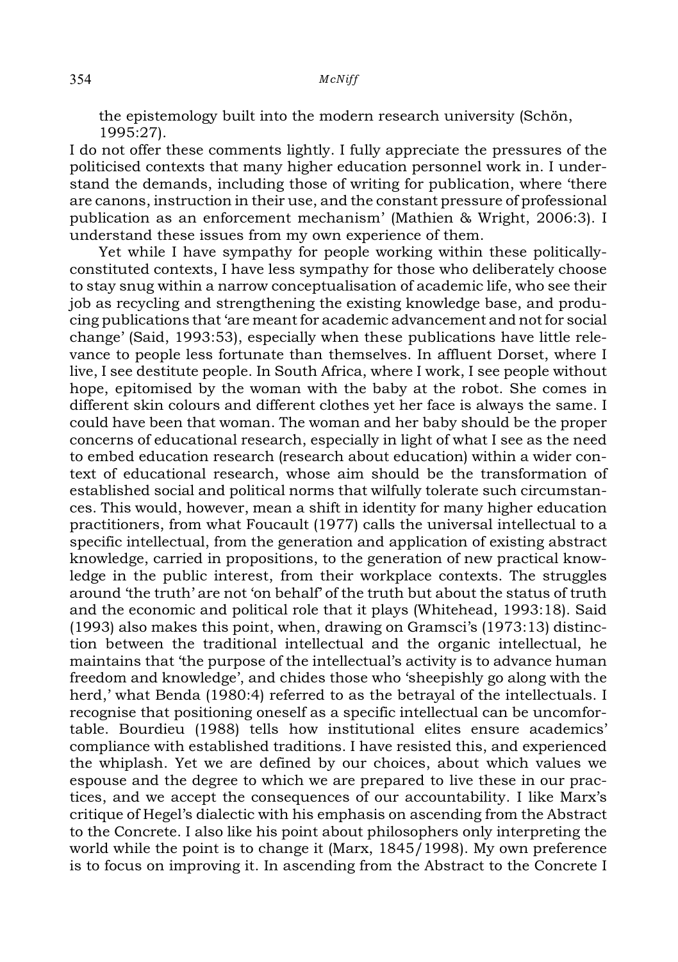the epistemology built into the modern research university (Schön, 1995:27).

I do not offer these comments lightly. I fully appreciate the pressures of the politicised contexts that many higher education personnel work in. I understand the demands, including those of writing for publication, where 'there are canons, instruction in their use, and the constant pressure of professional publication as an enforcement mechanism' (Mathien & Wright, 2006:3). I understand these issues from my own experience of them.

Yet while I have sympathy for people working within these politicallyconstituted contexts, I have less sympathy for those who deliberately choose to stay snug within a narrow conceptualisation of academic life, who see their job as recycling and strengthening the existing knowledge base, and producing publications that 'are meant for academic advancement and not for social change' (Said, 1993:53), especially when these publications have little relevance to people less fortunate than themselves. In affluent Dorset, where I live, I see destitute people. In South Africa, where I work, I see people without hope, epitomised by the woman with the baby at the robot. She comes in different skin colours and different clothes yet her face is always the same. I could have been that woman. The woman and her baby should be the proper concerns of educational research, especially in light of what I see as the need to embed education research (research about education) within a wider context of educational research, whose aim should be the transformation of established social and political norms that wilfully tolerate such circumstances. This would, however, mean a shift in identity for many higher education practitioners, from what Foucault (1977) calls the universal intellectual to a specific intellectual, from the generation and application of existing abstract knowledge, carried in propositions, to the generation of new practical knowledge in the public interest, from their workplace contexts. The struggles around 'the truth' are not 'on behalf' of the truth but about the status of truth and the economic and political role that it plays (Whitehead, 1993:18). Said (1993) also makes this point, when, drawing on Gramsci's (1973:13) distinction between the traditional intellectual and the organic intellectual, he maintains that 'the purpose of the intellectual's activity is to advance human freedom and knowledge', and chides those who 'sheepishly go along with the herd,' what Benda (1980:4) referred to as the betrayal of the intellectuals. I recognise that positioning oneself as a specific intellectual can be uncomfortable. Bourdieu (1988) tells how institutional elites ensure academics' compliance with established traditions. I have resisted this, and experienced the whiplash. Yet we are defined by our choices, about which values we espouse and the degree to which we are prepared to live these in our practices, and we accept the consequences of our accountability. I like Marx's critique of Hegel's dialectic with his emphasis on ascending from the Abstract to the Concrete. I also like his point about philosophers only interpreting the world while the point is to change it (Marx, 1845/1998). My own preference is to focus on improving it. In ascending from the Abstract to the Concrete I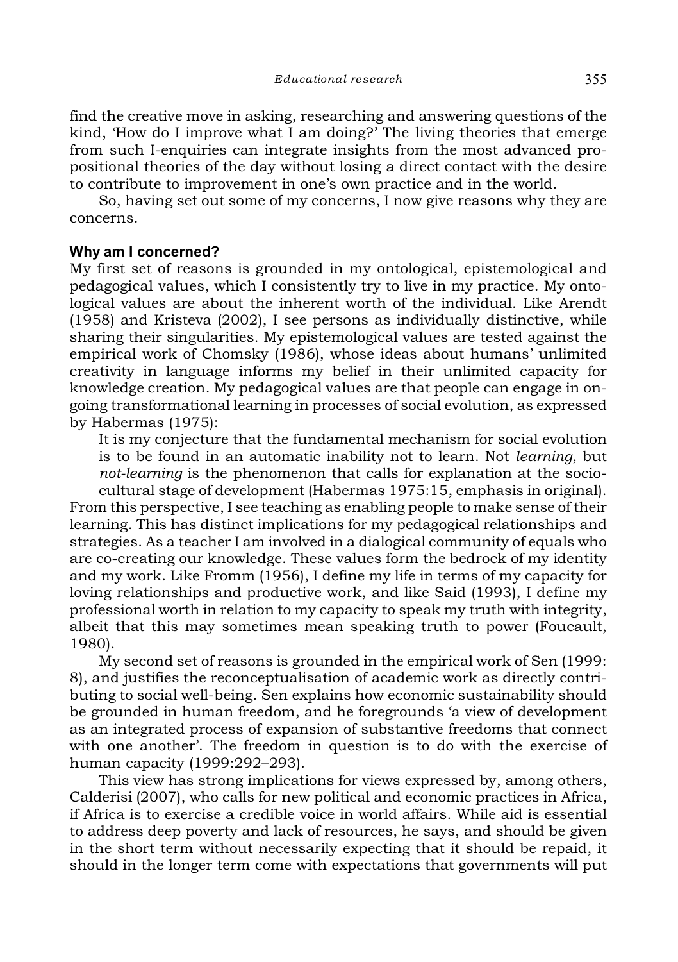*Educational research* 355

find the creative move in asking, researching and answering questions of the kind, 'How do I improve what I am doing?' The living theories that emerge from such I-enquiries can integrate insights from the most advanced propositional theories of the day without losing a direct contact with the desire to contribute to improvement in one's own practice and in the world.

So, having set out some of my concerns, I now give reasons why they are concerns.

## **Why am I concerned?**

My first set of reasons is grounded in my ontological, epistemological and pedagogical values, which I consistently try to live in my practice. My ontological values are about the inherent worth of the individual. Like Arendt (1958) and Kristeva (2002), I see persons as individually distinctive, while sharing their singularities. My epistemological values are tested against the empirical work of Chomsky (1986), whose ideas about humans' unlimited creativity in language informs my belief in their unlimited capacity for knowledge creation. My pedagogical values are that people can engage in ongoing transformational learning in processes of social evolution, as expressed by Habermas (1975):

It is my conjecture that the fundamental mechanism for social evolution is to be found in an automatic inability not to learn. Not *learning*, but *not-learning* is the phenomenon that calls for explanation at the socio-

cultural stage of development (Habermas 1975:15, emphasis in original). From this perspective, I see teaching as enabling people to make sense of their learning. This has distinct implications for my pedagogical relationships and strategies. As a teacher I am involved in a dialogical community of equals who are co-creating our knowledge. These values form the bedrock of my identity and my work. Like Fromm (1956), I define my life in terms of my capacity for loving relationships and productive work, and like Said (1993), I define my professional worth in relation to my capacity to speak my truth with integrity, albeit that this may sometimes mean speaking truth to power (Foucault, 1980).

My second set of reasons is grounded in the empirical work of Sen (1999: 8), and justifies the reconceptualisation of academic work as directly contributing to social well-being. Sen explains how economic sustainability should be grounded in human freedom, and he foregrounds 'a view of development as an integrated process of expansion of substantive freedoms that connect with one another'. The freedom in question is to do with the exercise of human capacity (1999:292–293).

This view has strong implications for views expressed by, among others, Calderisi (2007), who calls for new political and economic practices in Africa, if Africa is to exercise a credible voice in world affairs. While aid is essential to address deep poverty and lack of resources, he says, and should be given in the short term without necessarily expecting that it should be repaid, it should in the longer term come with expectations that governments will put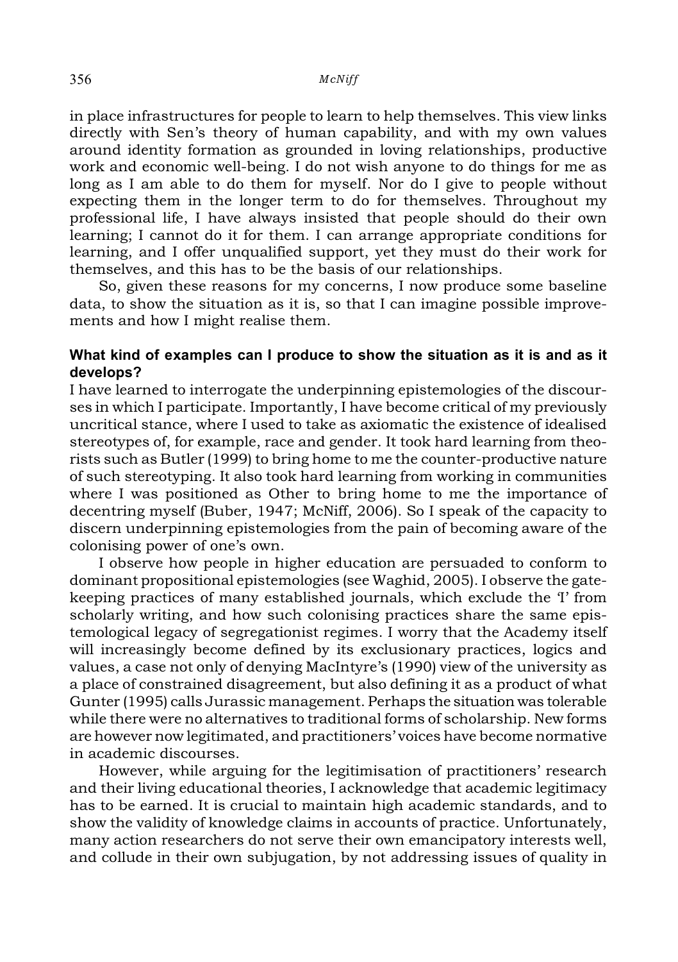#### 356 *McNiff*

in place infrastructures for people to learn to help themselves. This view links directly with Sen's theory of human capability, and with my own values around identity formation as grounded in loving relationships, productive work and economic well-being. I do not wish anyone to do things for me as long as I am able to do them for myself. Nor do I give to people without expecting them in the longer term to do for themselves. Throughout my professional life, I have always insisted that people should do their own learning; I cannot do it for them. I can arrange appropriate conditions for learning, and I offer unqualified support, yet they must do their work for themselves, and this has to be the basis of our relationships.

So, given these reasons for my concerns, I now produce some baseline data, to show the situation as it is, so that I can imagine possible improvements and how I might realise them.

## **What kind of examples can I produce to show the situation as it is and as it develops?**

I have learned to interrogate the underpinning epistemologies of the discourses in which I participate. Importantly, I have become critical of my previously uncritical stance, where I used to take as axiomatic the existence of idealised stereotypes of, for example, race and gender. It took hard learning from theorists such as Butler (1999) to bring home to me the counter-productive nature of such stereotyping. It also took hard learning from working in communities where I was positioned as Other to bring home to me the importance of decentring myself (Buber, 1947; McNiff, 2006). So I speak of the capacity to discern underpinning epistemologies from the pain of becoming aware of the colonising power of one's own.

I observe how people in higher education are persuaded to conform to dominant propositional epistemologies (see Waghid, 2005). I observe the gatekeeping practices of many established journals, which exclude the 'I' from scholarly writing, and how such colonising practices share the same epistemological legacy of segregationist regimes. I worry that the Academy itself will increasingly become defined by its exclusionary practices, logics and values, a case not only of denying MacIntyre's (1990) view of the university as a place of constrained disagreement, but also defining it as a product of what Gunter (1995) calls Jurassic management. Perhaps the situation was tolerable while there were no alternatives to traditional forms of scholarship. New forms are however now legitimated, and practitioners' voices have become normative in academic discourses.

However, while arguing for the legitimisation of practitioners' research and their living educational theories, I acknowledge that academic legitimacy has to be earned. It is crucial to maintain high academic standards, and to show the validity of knowledge claims in accounts of practice. Unfortunately, many action researchers do not serve their own emancipatory interests well, and collude in their own subjugation, by not addressing issues of quality in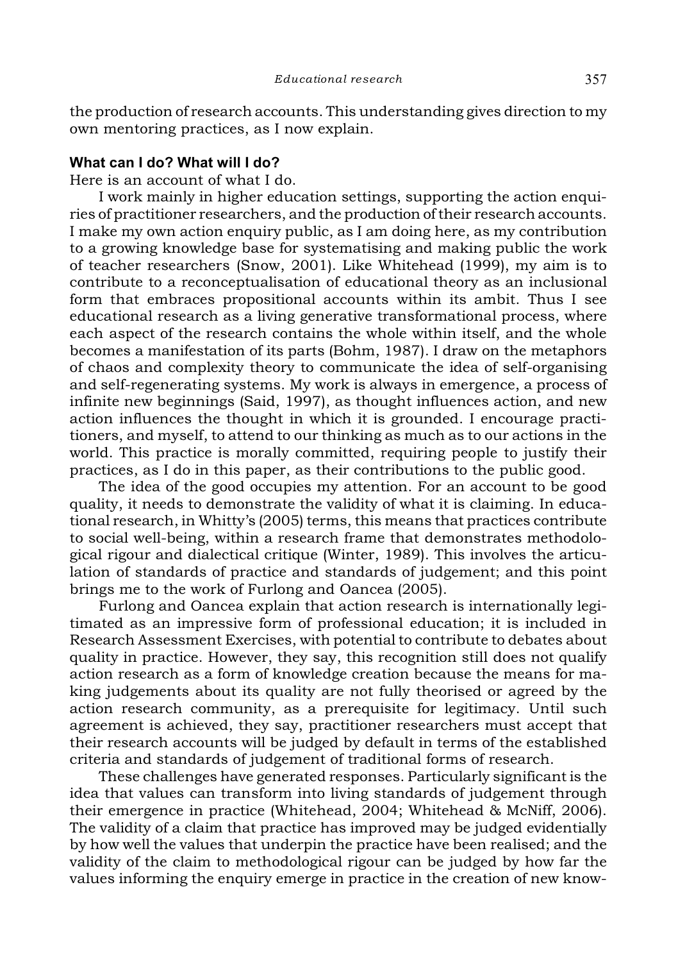the production of research accounts. This understanding gives direction to my own mentoring practices, as I now explain.

## **What can I do? What will I do?**

Here is an account of what I do.

I work mainly in higher education settings, supporting the action enquiries of practitioner researchers, and the production of their research accounts. I make my own action enquiry public, as I am doing here, as my contribution to a growing knowledge base for systematising and making public the work of teacher researchers (Snow, 2001). Like Whitehead (1999), my aim is to contribute to a reconceptualisation of educational theory as an inclusional form that embraces propositional accounts within its ambit. Thus I see educational research as a living generative transformational process, where each aspect of the research contains the whole within itself, and the whole becomes a manifestation of its parts (Bohm, 1987). I draw on the metaphors of chaos and complexity theory to communicate the idea of self-organising and self-regenerating systems. My work is always in emergence, a process of infinite new beginnings (Said, 1997), as thought influences action, and new action influences the thought in which it is grounded. I encourage practitioners, and myself, to attend to our thinking as much as to our actions in the world. This practice is morally committed, requiring people to justify their practices, as I do in this paper, as their contributions to the public good.

The idea of the good occupies my attention. For an account to be good quality, it needs to demonstrate the validity of what it is claiming. In educational research, in Whitty's (2005) terms, this means that practices contribute to social well-being, within a research frame that demonstrates methodological rigour and dialectical critique (Winter, 1989). This involves the articulation of standards of practice and standards of judgement; and this point brings me to the work of Furlong and Oancea (2005).

Furlong and Oancea explain that action research is internationally legitimated as an impressive form of professional education; it is included in Research Assessment Exercises, with potential to contribute to debates about quality in practice. However, they say, this recognition still does not qualify action research as a form of knowledge creation because the means for making judgements about its quality are not fully theorised or agreed by the action research community, as a prerequisite for legitimacy. Until such agreement is achieved, they say, practitioner researchers must accept that their research accounts will be judged by default in terms of the established criteria and standards of judgement of traditional forms of research.

These challenges have generated responses. Particularly significant is the idea that values can transform into living standards of judgement through their emergence in practice (Whitehead, 2004; Whitehead & McNiff, 2006). The validity of a claim that practice has improved may be judged evidentially by how well the values that underpin the practice have been realised; and the validity of the claim to methodological rigour can be judged by how far the values informing the enquiry emerge in practice in the creation of new know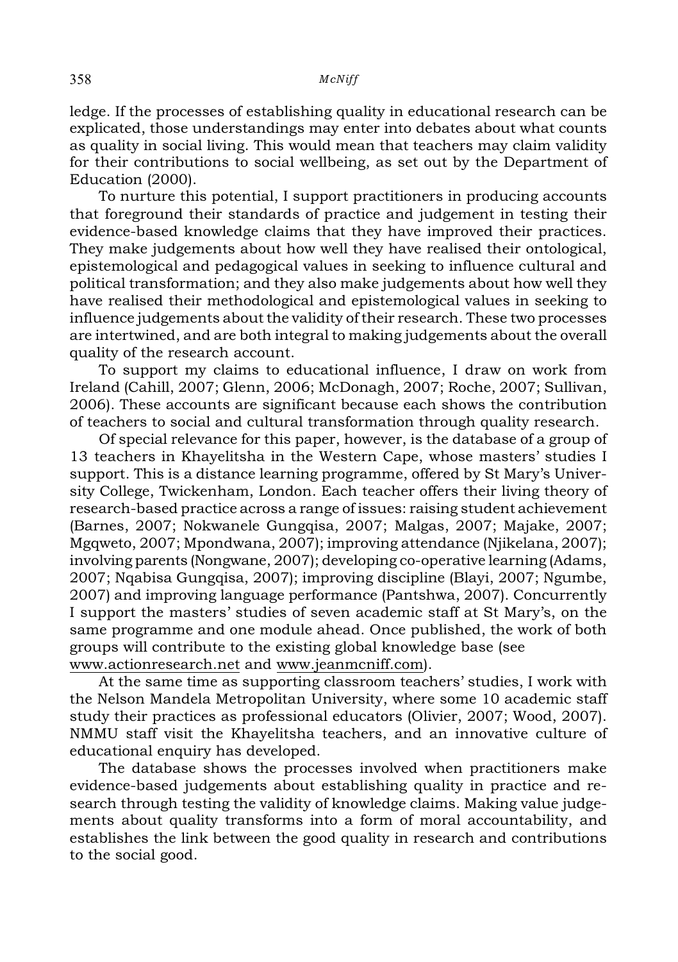ledge. If the processes of establishing quality in educational research can be explicated, those understandings may enter into debates about what counts as quality in social living. This would mean that teachers may claim validity for their contributions to social wellbeing, as set out by the Department of Education (2000).

To nurture this potential, I support practitioners in producing accounts that foreground their standards of practice and judgement in testing their evidence-based knowledge claims that they have improved their practices. They make judgements about how well they have realised their ontological, epistemological and pedagogical values in seeking to influence cultural and political transformation; and they also make judgements about how well they have realised their methodological and epistemological values in seeking to influence judgements about the validity of their research. These two processes are intertwined, and are both integral to making judgements about the overall quality of the research account.

To support my claims to educational influence, I draw on work from Ireland (Cahill, 2007; Glenn, 2006; McDonagh, 2007; Roche, 2007; Sullivan, 2006). These accounts are significant because each shows the contribution of teachers to social and cultural transformation through quality research.

Of special relevance for this paper, however, is the database of a group of 13 teachers in Khayelitsha in the Western Cape, whose masters' studies I support. This is a distance learning programme, offered by St Mary's University College, Twickenham, London. Each teacher offers their living theory of research-based practice across a range of issues: raising student achievement (Barnes, 2007; Nokwanele Gungqisa, 2007; Malgas, 2007; Majake, 2007; Mgqweto, 2007; Mpondwana, 2007); improving attendance (Njikelana, 2007); involving parents (Nongwane, 2007); developing co-operative learning (Adams, 2007; Nqabisa Gungqisa, 2007); improving discipline (Blayi, 2007; Ngumbe, 2007) and improving language performance (Pantshwa, 2007). Concurrently I support the masters' studies of seven academic staff at St Mary's, on the same programme and one module ahead. Once published, the work of both groups will contribute to the existing global knowledge base (see www.actionresearch.net and www.jeanmcniff.com).

At the same time as supporting classroom teachers' studies, I work with the Nelson Mandela Metropolitan University, where some 10 academic staff study their practices as professional educators (Olivier, 2007; Wood, 2007). NMMU staff visit the Khayelitsha teachers, and an innovative culture of educational enquiry has developed.

The database shows the processes involved when practitioners make evidence-based judgements about establishing quality in practice and research through testing the validity of knowledge claims. Making value judgements about quality transforms into a form of moral accountability, and establishes the link between the good quality in research and contributions to the social good.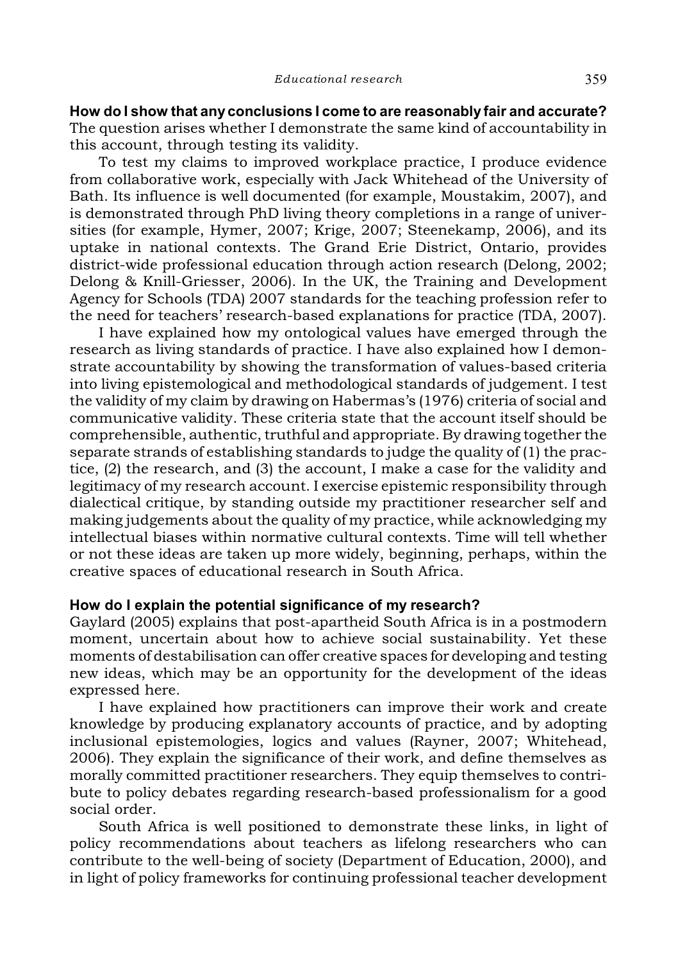**How do I show that anyconclusions I come to are reasonably fair and accurate?** The question arises whether I demonstrate the same kind of accountability in this account, through testing its validity.

To test my claims to improved workplace practice, I produce evidence from collaborative work, especially with Jack Whitehead of the University of Bath. Its influence is well documented (for example, Moustakim, 2007), and is demonstrated through PhD living theory completions in a range of universities (for example, Hymer, 2007; Krige, 2007; Steenekamp, 2006), and its uptake in national contexts. The Grand Erie District, Ontario, provides district-wide professional education through action research (Delong, 2002; Delong & Knill-Griesser, 2006). In the UK, the Training and Development Agency for Schools (TDA) 2007 standards for the teaching profession refer to the need for teachers' research-based explanations for practice (TDA, 2007).

I have explained how my ontological values have emerged through the research as living standards of practice. I have also explained how I demonstrate accountability by showing the transformation of values-based criteria into living epistemological and methodological standards of judgement. I test the validity of my claim by drawing on Habermas's (1976) criteria of social and communicative validity. These criteria state that the account itself should be comprehensible, authentic, truthful and appropriate. By drawing together the separate strands of establishing standards to judge the quality of (1) the practice, (2) the research, and (3) the account, I make a case for the validity and legitimacy of my research account. I exercise epistemic responsibility through dialectical critique, by standing outside my practitioner researcher self and making judgements about the quality of my practice, while acknowledging my intellectual biases within normative cultural contexts. Time will tell whether or not these ideas are taken up more widely, beginning, perhaps, within the creative spaces of educational research in South Africa.

# **How do I explain the potential significance of my research?**

Gaylard (2005) explains that post-apartheid South Africa is in a postmodern moment, uncertain about how to achieve social sustainability. Yet these moments of destabilisation can offer creative spaces for developing and testing new ideas, which may be an opportunity for the development of the ideas expressed here.

I have explained how practitioners can improve their work and create knowledge by producing explanatory accounts of practice, and by adopting inclusional epistemologies, logics and values (Rayner, 2007; Whitehead, 2006). They explain the significance of their work, and define themselves as morally committed practitioner researchers. They equip themselves to contribute to policy debates regarding research-based professionalism for a good social order.

South Africa is well positioned to demonstrate these links, in light of policy recommendations about teachers as lifelong researchers who can contribute to the well-being of society (Department of Education, 2000), and in light of policy frameworks for continuing professional teacher development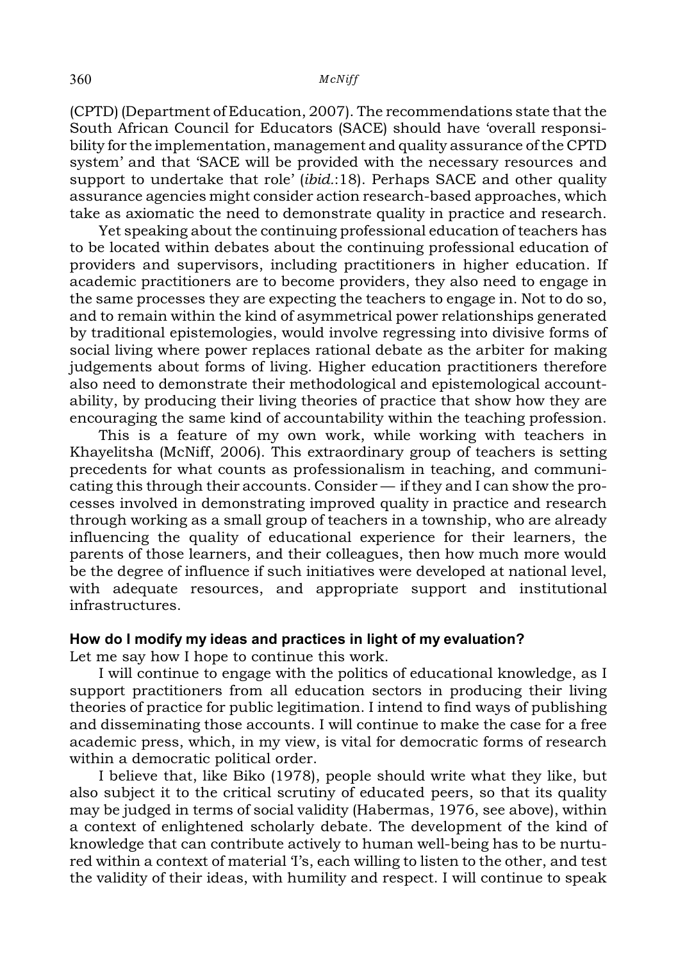#### 360 *McNiff*

(CPTD) (Department of Education, 2007). The recommendations state that the South African Council for Educators (SACE) should have 'overall responsibility for the implementation, management and quality assurance of the CPTD system' and that 'SACE will be provided with the necessary resources and support to undertake that role' (*ibid.*:18). Perhaps SACE and other quality assurance agencies might consider action research-based approaches, which take as axiomatic the need to demonstrate quality in practice and research.

Yet speaking about the continuing professional education of teachers has to be located within debates about the continuing professional education of providers and supervisors, including practitioners in higher education. If academic practitioners are to become providers, they also need to engage in the same processes they are expecting the teachers to engage in. Not to do so, and to remain within the kind of asymmetrical power relationships generated by traditional epistemologies, would involve regressing into divisive forms of social living where power replaces rational debate as the arbiter for making judgements about forms of living. Higher education practitioners therefore also need to demonstrate their methodological and epistemological accountability, by producing their living theories of practice that show how they are encouraging the same kind of accountability within the teaching profession.

This is a feature of my own work, while working with teachers in Khayelitsha (McNiff, 2006). This extraordinary group of teachers is setting precedents for what counts as professionalism in teaching, and communicating this through their accounts. Consider — if they and I can show the processes involved in demonstrating improved quality in practice and research through working as a small group of teachers in a township, who are already influencing the quality of educational experience for their learners, the parents of those learners, and their colleagues, then how much more would be the degree of influence if such initiatives were developed at national level, with adequate resources, and appropriate support and institutional infrastructures.

## **How do I modify my ideas and practices in light of my evaluation?**

Let me say how I hope to continue this work.

I will continue to engage with the politics of educational knowledge, as I support practitioners from all education sectors in producing their living theories of practice for public legitimation. I intend to find ways of publishing and disseminating those accounts. I will continue to make the case for a free academic press, which, in my view, is vital for democratic forms of research within a democratic political order.

I believe that, like Biko (1978), people should write what they like, but also subject it to the critical scrutiny of educated peers, so that its quality may be judged in terms of social validity (Habermas, 1976, see above), within a context of enlightened scholarly debate. The development of the kind of knowledge that can contribute actively to human well-being has to be nurtured within a context of material T's, each willing to listen to the other, and test the validity of their ideas, with humility and respect. I will continue to speak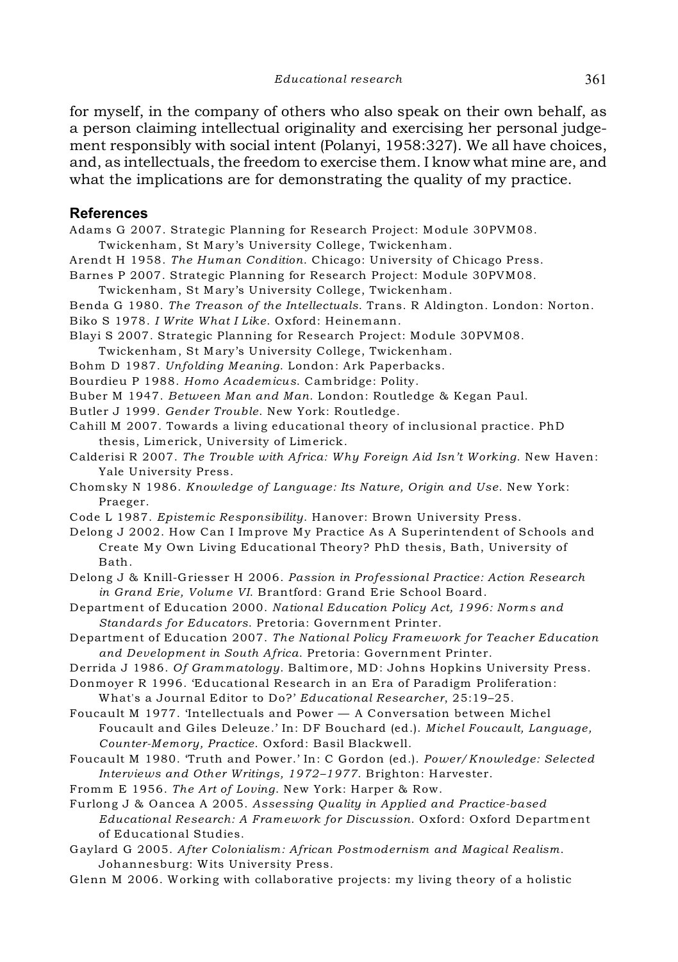for myself, in the company of others who also speak on their own behalf, as a person claiming intellectual originality and exercising her personal judgement responsibly with social intent (Polanyi, 1958:327). We all have choices, and, as intellectuals, the freedom to exercise them. I know what mine are, and what the implications are for demonstrating the quality of my practice.

#### **References**

Adams G 2007. Strategic Planning for Research Project: Module 30PVM08.

Twickenham, St Mary's University College, Twickenham.

Arendt H 1958. *The Human Condition*. Chicago: University of Chicago Press.

- Barnes P 2007. Strategic Planning for Research Project: Module 30PVM08.
- Twickenham, St Mary's University College, Twickenham.
- Benda G 1980. *The Treason of the Intellectuals*. Trans. R Aldington. London: Norton. Biko S 1978. *I Write What I Like*. Oxford: Heinemann.
- Blayi S 2007. Strategic Planning for Research Project: Module 30PVM08.
- Twickenham, St Mary's University College, Twickenham.
- Bohm D 1987. *Unfolding Meaning*. London: Ark Paperbacks.
- Bourdieu P 1988. *Homo Academicus*. Cambridge: Polity.
- Buber M 1947. *Between Man and Man*. London: Routledge & Kegan Paul.
- Butler J 1999. *Gender Trouble*. New York: Routledge.
- Cahill M 2007. Towards a living educational theory of inclusional practice. PhD thesis, Limerick, University of Limerick.
- Calderisi R 2007. *The Trouble with Africa: Why Foreign Aid Isn't Working*. New Haven: Yale University Press.
- Chomsky N 1986. *Knowledge of Language: Its Nature, Origin and Use*. New York: Praeger.
- Code L 1987. *Epistemic Responsibility*. Hanover: Brown University Press.
- Delong J 2002. How Can I Improve My Practice As A Superintendent of Schools and Create My Own Living Educational Theory? PhD thesis, Bath, University of Bath.
- Delong J & Knill-Griesser H 2006. *Passion in Professional Practice: Action Research in Grand Erie, Volume VI*. Brantford: Grand Erie School Board.
- Department of Education 2000. *National Education Policy Act, 1996: Norms and Standards for Educators*. Pretoria: Government Printer.
- Department of Education 2007. *The National Policy Framework for Teacher Education and Development in South Africa*. Pretoria: Government Printer.
- Derrida J 1986. *Of Grammatology*. Baltimore, MD: Johns Hopkins University Press.
- Donmoyer R 1996. 'Educational Research in an Era of Paradigm Proliferation: What's a Journal Editor to Do?' *Educational Researcher*, 25:19–25.
- Foucault M 1977. 'Intellectuals and Power A Conversation between Michel Foucault and Giles Deleuze.' In: DF Bouchard (ed.). *Michel Foucault, Language, Counter-Memory, Practice*. Oxford: Basil Blackwell.
- Foucault M 1980. 'Truth and Power.' In: C Gordon (ed.). *Power/Knowledge: Selected Interviews and Other Writings, 1972–1977*. Brighton: Harvester.
- Fromm E 1956. *The Art of Loving*. New York: Harper & Row.
- Furlong J & Oancea A 2005. *Assessing Quality in Applied and Practice-based Educational Research: A Framework for Discussion*. Oxford: Oxford Department of Educational Studies.
- Gaylard G 2005. *After Colonialism: African Postmodernism and Magical Realism*. Johannesburg: Wits University Press.
- Glenn M 2006. Working with collaborative projects: my living theory of a holistic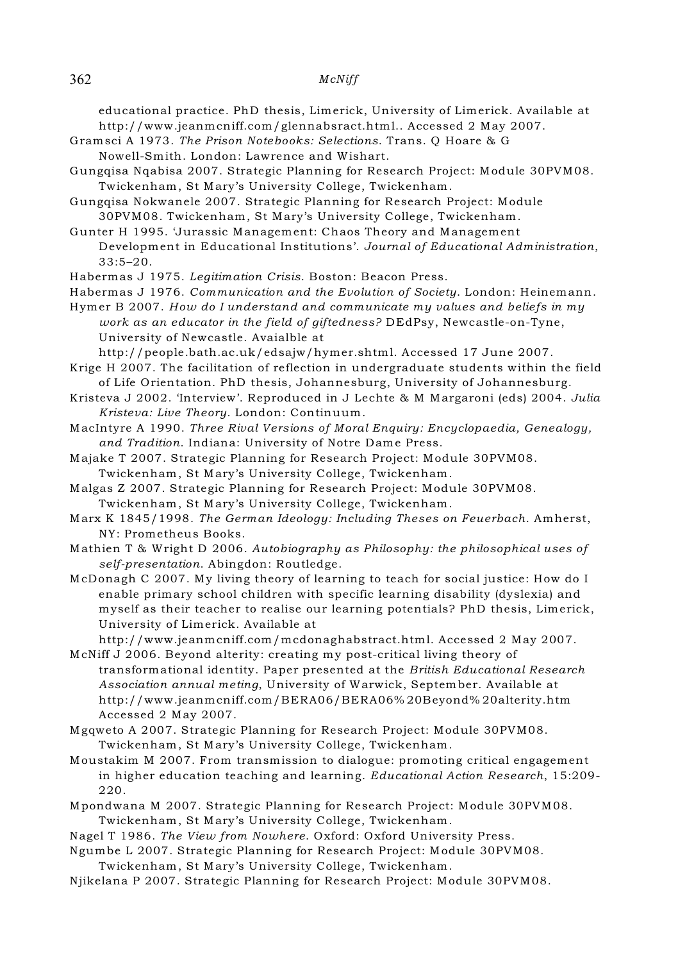#### 362 *McNiff*

educational practice. PhD thesis, Limerick, University of Limerick. Available at http://www.jeanmcniff.com/glennabsract.html.. Accessed 2 May 2007.

- Gramsci A 1973. *The Prison Notebooks: Selections*. Trans. Q Hoare & G Nowell-Smith. London: Lawrence and Wishart.
- Gungqisa Nqabisa 2007. Strategic Planning for Research Project: Module 30PVM08. Twickenham, St Mary's University College, Twickenham.
- Gungqisa Nokwanele 2007. Strategic Planning for Research Project: Module 30PVM08. Twickenham, St Mary's University College, Twickenham.

Gunter H 1995. 'Jurassic Management: Chaos Theory and Management Development in Educational Institutions'. *Journal of Educational Administration*, 33:5–20.

Habermas J 1975. *Legitimation Crisis*. Boston: Beacon Press.

Habermas J 1976. *Communication and the Evolution of Society*. London: Heinemann.

Hymer B 2007. *How do I understand and communicate my values and beliefs in my work as an educator in the field of giftedness?* DEdPsy, Newcastle-on-Tyne, University of Newcastle. Avaialble at

http://people.bath.ac.uk/edsajw/hymer.shtml. Accessed 17 June 2007.

- Krige H 2007. The facilitation of reflection in undergraduate students within the field of Life Orientation. PhD thesis, Johannesburg, University of Johannesburg.
- Kristeva J 2002. 'Interview'. Reproduced in J Lechte & M Margaroni (eds) 2004. *Julia Kristeva: Live Theory*. London: Continuum.

MacIntyre A 1990. *Three Rival Versions of Moral Enquiry: Encyclopaedia, Genealogy, and Tradition*. Indiana: University of Notre Dame Press.

- Majake T 2007. Strategic Planning for Research Project: Module 30PVM08. Twickenham, St Mary's University College, Twickenham.
- Malgas Z 2007. Strategic Planning for Research Project: Module 30PVM08. Twickenham, St Mary's University College, Twickenham.
- Marx K 1845/1998. *The German Ideology: Including Theses on Feuerbach*. Amherst, NY: Prometheus Books.
- Mathien T & Wright D 2006. *Autobiography as Philosophy: the philosophical uses of self-presentation*. Abingdon: Routledge.

McDonagh C 2007. My living theory of learning to teach for social justice: How do I enable primary school children with specific learning disability (dyslexia) and myself as their teacher to realise our learning potentials? PhD thesis, Limerick, University of Limerick. Available at

http://www.jeanmcniff.com/mcdonaghabstract.html. Accessed 2 May 2007. McNiff J 2006. Beyond alterity: creating my post-critical living theory of

- transformational identity. Paper presented at the *British Educational Research Association annual meting*, University of Warwick, September. Available at http://www.jeanmcniff.com/BERA06/BERA06% 20Beyond% 20alterity.htm Accessed 2 May 2007.
- Mgqweto A 2007. Strategic Planning for Research Project: Module 30PVM08. Twickenham, St Mary's University College, Twickenham.
- Moustakim M 2007. From transmission to dialogue: promoting critical engagement in higher education teaching and learning. *Educational Action Research*, 15:209- 220.
- Mpondwana M 2007. Strategic Planning for Research Project: Module 30PVM08. Twickenham, St Mary's University College, Twickenham.
- Nagel T 1986. *The View from Nowhere*. Oxford: Oxford University Press.

Ngumbe L 2007. Strategic Planning for Research Project: Module 30PVM08.

Twickenham, St Mary's University College, Twickenham.

Njikelana P 2007. Strategic Planning for Research Project: Module 30PVM08.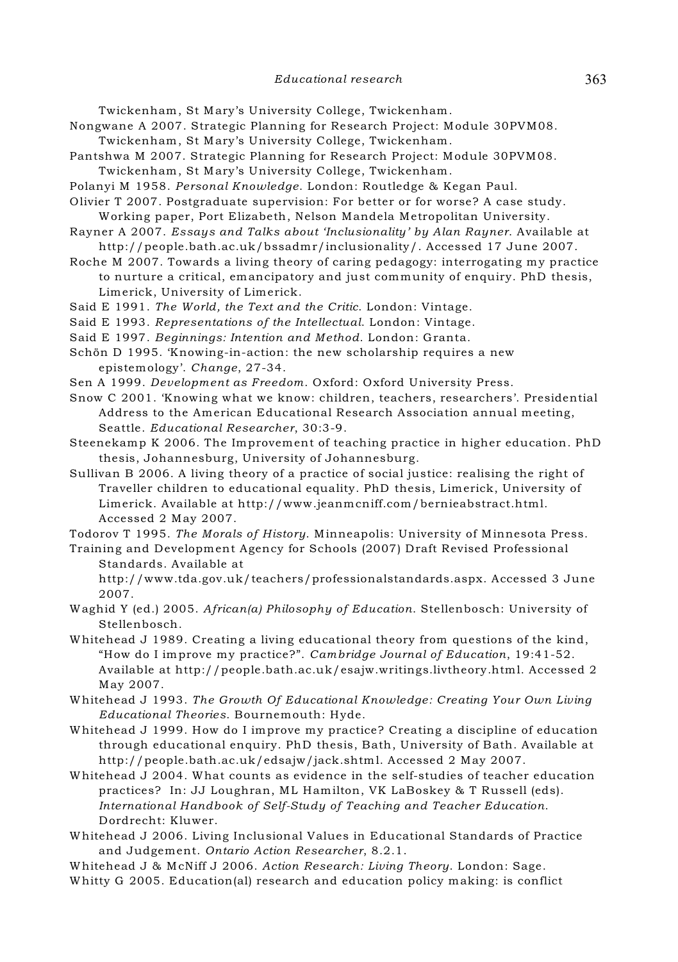Twickenham, St Mary's University College, Twickenham.

- Nongwane A 2007. Strategic Planning for Research Project: Module 30PVM08.
- Twickenham, St Mary's University College, Twickenham.
- Pantshwa M 2007. Strategic Planning for Research Project: Module 30PVM08. Twickenham, St Mary's University College, Twickenham.
- Polanyi M 1958. *Personal Knowledge*. London: Routledge & Kegan Paul.
- Olivier T 2007. Postgraduate supervision: For better or for worse? A case study. Working paper, Port Elizabeth, Nelson Mandela Metropolitan University.
- Rayner A 2007. *Essays and Talks about 'Inclusionality' by Alan Rayner*. Available at http://people.bath.ac.uk/bssadmr/inclusionality/. Accessed 17 June 2007.
- Roche M 2007. Towards a living theory of caring pedagogy: interrogating my practice to nurture a critical, emancipatory and just community of enquiry. PhD thesis, Limerick, University of Limerick.
- Said E 1991. *The World, the Text and the Critic*. London: Vintage.
- Said E 1993. *Representations of the Intellectual*. London: Vintage.
- Said E 1997. *Beginnings: Intention and Method*. London: Granta.
- Schön D 1995. 'Knowing-in-action: the new scholarship requires a new epistemology'. *Change*, 27-34.
- Sen A 1999. *Development as Freedom*. Oxford: Oxford University Press.
- Snow C 2001. 'Knowing what we know: children, teachers, researchers'. Presidential Address to the American Educational Research Association annual meeting, Seattle. *Educational Researcher*, 30:3-9.

Steenekamp K 2006. The Improvement of teaching practice in higher education. PhD thesis, Johannesburg, University of Johannesburg.

Sullivan B 2006. A living theory of a practice of social justice: realising the right of Traveller children to educational equality. PhD thesis, Limerick, University of Limerick. Available at http://www.jeanmcniff.com/bernieabstract.html. Accessed 2 May 2007.

Todorov T 1995. *The Morals of History*. Minneapolis: University of Minnesota Press.

Training and Development Agency for Schools (2007) Draft Revised Professional Standards. Available at

http://www.tda.gov.uk/teachers/professionalstandards.aspx. Accessed 3 June 2007.

- Waghid Y (ed.) 2005. *African(a) Philosophy of Education*. Stellenbosch: University of Stellenbosch.
- Whitehead J 1989. Creating a living educational theory from questions of the kind, "How do I improve my practice?". *Cambridge Journal of Education*, 19:41-52. Available at http://people.bath.ac.uk/esajw.writings.livtheory.html. Accessed 2 May 2007.
- Whitehead J 1993. *The Growth Of Educational Knowledge: Creating Your Own Living Educational Theories*. Bournemouth: Hyde.
- Whitehead J 1999. How do I improve my practice? Creating a discipline of education through educational enquiry. PhD thesis, Bath, University of Bath. Available at http://people.bath.ac.uk/edsajw/jack.shtml. Accessed 2 May 2007.
- Whitehead J 2004. What counts as evidence in the self-studies of teacher education practices? In: JJ Loughran, ML Hamilton, VK LaBoskey & T Russell (eds). *International Handbook of Self-Study of Teaching and Teacher Education*. Dordrecht: Kluwer.
- Whitehead J 2006. Living Inclusional Values in Educational Standards of Practice and Judgement. *Ontario Action Researcher*, 8.2.1.

Whitehead J & McNiff J 2006. *Action Research: Living Theory*. London: Sage. Whitty G 2005. Education(al) research and education policy making: is conflict